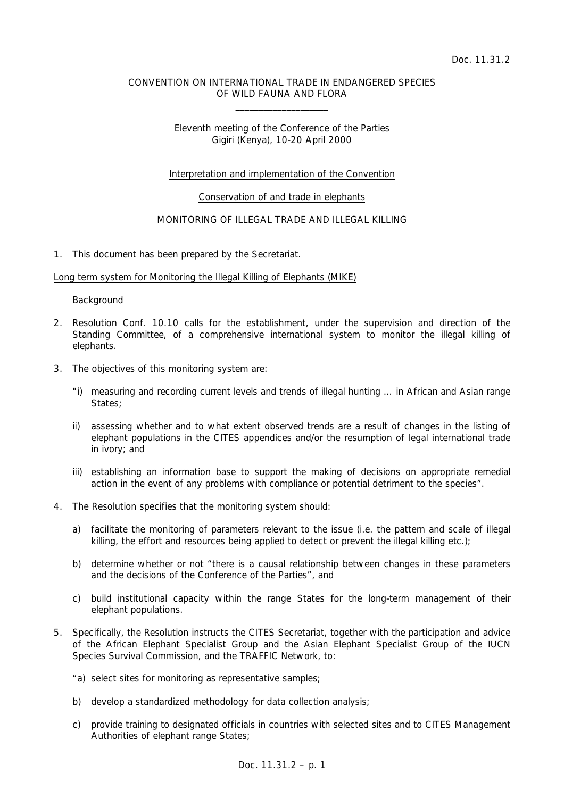#### CONVENTION ON INTERNATIONAL TRADE IN ENDANGERED SPECIES OF WILD FAUNA AND FLORA \_\_\_\_\_\_\_\_\_\_\_\_\_\_\_\_\_\_\_\_

## Eleventh meeting of the Conference of the Parties Gigiri (Kenya), 10-20 April 2000

#### Interpretation and implementation of the Convention

#### Conservation of and trade in elephants

## MONITORING OF ILLEGAL TRADE AND ILLEGAL KILLING

1. This document has been prepared by the Secretariat.

#### Long term system for Monitoring the Illegal Killing of Elephants (MIKE)

#### Background

- 2. Resolution Conf. 10.10 calls for the establishment, under the supervision and direction of the Standing Committee, of a comprehensive international system to monitor the illegal killing of elephants.
- 3. The objectives of this monitoring system are:
	- *"i) measuring and recording current levels and trends of illegal hunting … in African and Asian range States;*
	- *ii) assessing whether and to what extent observed trends are a result of changes in the listing of elephant populations in the CITES appendices and/or the resumption of legal international trade in ivory; and*
	- *iii) establishing an information base to support the making of decisions on appropriate remedial action in the event of any problems with compliance or potential detriment to the species".*
- 4. The Resolution specifies that the monitoring system should:
	- a) facilitate the monitoring of parameters relevant to the issue (i.e. the pattern and scale of illegal killing, the effort and resources being applied to detect or prevent the illegal killing etc.);
	- b) determine whether or not "*there is a causal relationship between changes in these parameters and the decisions of the Conference of the Parties*", and
	- c) build institutional capacity within the range States for the long-term management of their elephant populations.
- 5. Specifically, the Resolution instructs the CITES Secretariat, together with the participation and advice of the African Elephant Specialist Group and the Asian Elephant Specialist Group of the IUCN Species Survival Commission, and the TRAFFIC Network, to:
	- *"a) select sites for monitoring as representative samples;*
	- *b) develop a standardized methodology for data collection analysis;*
	- *c) provide training to designated officials in countries with selected sites and to CITES Management Authorities of elephant range States;*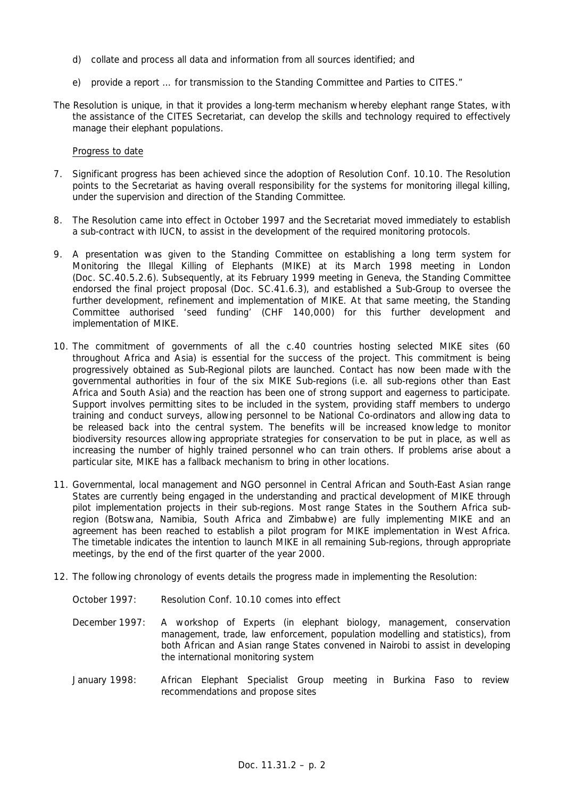- *d) collate and process all data and information from all sources identified; and*
- *e) provide a report … for transmission to the Standing Committee and Parties to CITES."*
- The Resolution is unique, in that it provides a long-term mechanism whereby elephant range States, with the assistance of the CITES Secretariat, can develop the skills and technology required to effectively manage their elephant populations.

#### Progress to date

- 7. Significant progress has been achieved since the adoption of Resolution Conf. 10.10. The Resolution points to the Secretariat as having overall responsibility for the systems for monitoring illegal killing, under the supervision and direction of the Standing Committee.
- 8. The Resolution came into effect in October 1997 and the Secretariat moved immediately to establish a sub-contract with IUCN, to assist in the development of the required monitoring protocols.
- 9. A presentation was given to the Standing Committee on establishing a long term system for Monitoring the Illegal Killing of Elephants (MIKE) at its March 1998 meeting in London (Doc. SC.40.5.2.6). Subsequently, at its February 1999 meeting in Geneva, the Standing Committee endorsed the final project proposal (Doc. SC.41.6.3), and established a Sub-Group to oversee the further development, refinement and implementation of MIKE. At that same meeting, the Standing Committee authorised 'seed funding' (CHF 140,000) for this further development and implementation of MIKE.
- 10. The commitment of governments of all the c.40 countries hosting selected MIKE sites (60 throughout Africa and Asia) is essential for the success of the project. This commitment is being progressively obtained as Sub-Regional pilots are launched. Contact has now been made with the governmental authorities in four of the six MIKE Sub-regions (i.e. all sub-regions other than East Africa and South Asia) and the reaction has been one of strong support and eagerness to participate. Support involves permitting sites to be included in the system, providing staff members to undergo training and conduct surveys, allowing personnel to be National Co-ordinators and allowing data to be released back into the central system. The benefits will be increased knowledge to monitor biodiversity resources allowing appropriate strategies for conservation to be put in place, as well as increasing the number of highly trained personnel who can train others. If problems arise about a particular site, MIKE has a fallback mechanism to bring in other locations.
- 11. Governmental, local management and NGO personnel in Central African and South-East Asian range States are currently being engaged in the understanding and practical development of MIKE through pilot implementation projects in their sub-regions. Most range States in the Southern Africa subregion (Botswana, Namibia, South Africa and Zimbabwe) are fully implementing MIKE and an agreement has been reached to establish a pilot program for MIKE implementation in West Africa. The timetable indicates the intention to launch MIKE in all remaining Sub-regions, through appropriate meetings, by the end of the first quarter of the year 2000.
- 12. The following chronology of events details the progress made in implementing the Resolution:

| October 1997: | Resolution Conf. 10.10 comes into effect |  |  |  |  |
|---------------|------------------------------------------|--|--|--|--|
|---------------|------------------------------------------|--|--|--|--|

- December 1997: A workshop of Experts (in elephant biology, management, conservation management, trade, law enforcement, population modelling and statistics), from both African and Asian range States convened in Nairobi to assist in developing the international monitoring system
- January 1998: African Elephant Specialist Group meeting in Burkina Faso to review recommendations and propose sites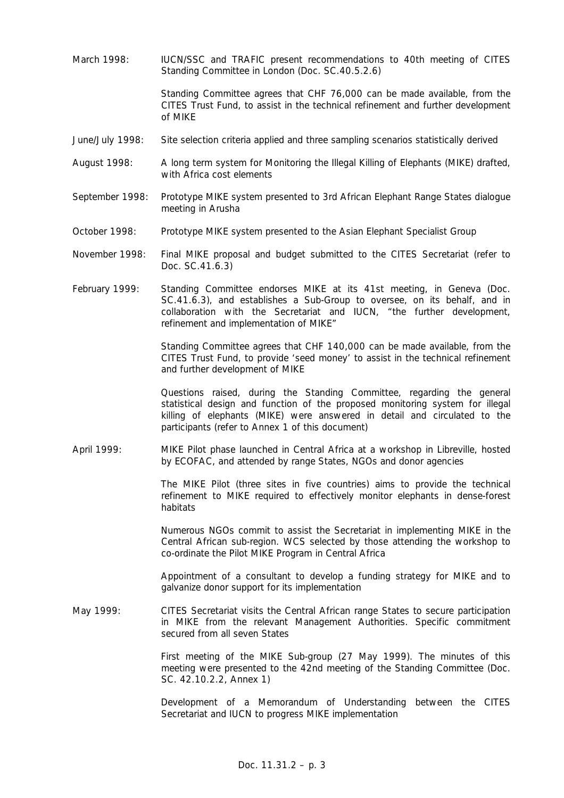March 1998: IUCN/SSC and TRAFIC present recommendations to 40th meeting of CITES Standing Committee in London (Doc. SC.40.5.2.6)

> Standing Committee agrees that CHF 76,000 can be made available, from the CITES Trust Fund, to assist in the technical refinement and further development of MIKE

- June/July 1998: Site selection criteria applied and three sampling scenarios statistically derived
- August 1998: A long term system for Monitoring the Illegal Killing of Elephants (MIKE) drafted, with Africa cost elements
- September 1998: Prototype MIKE system presented to 3rd African Elephant Range States dialogue meeting in Arusha
- October 1998: Prototype MIKE system presented to the Asian Elephant Specialist Group
- November 1998: Final MIKE proposal and budget submitted to the CITES Secretariat (refer to Doc. SC.41.6.3)
- February 1999: Standing Committee endorses MIKE at its 41st meeting, in Geneva (Doc. SC.41.6.3), and establishes a Sub-Group to oversee, on its behalf, and in collaboration with the Secretariat and IUCN, "*the further development, refinement and implementation of MIKE*"

Standing Committee agrees that CHF 140,000 can be made available, from the CITES Trust Fund, to provide 'seed money' to assist in the technical refinement and further development of MIKE

Questions raised, during the Standing Committee, regarding the general statistical design and function of the proposed monitoring system for illegal killing of elephants (MIKE) were answered in detail and circulated to the participants (refer to Annex 1 of this document)

April 1999: MIKE Pilot phase launched in Central Africa at a workshop in Libreville, hosted by ECOFAC, and attended by range States, NGOs and donor agencies

> The MIKE Pilot (three sites in five countries) aims to provide the technical refinement to MIKE required to effectively monitor elephants in dense-forest habitats

> Numerous NGOs commit to assist the Secretariat in implementing MIKE in the Central African sub-region. WCS selected by those attending the workshop to co-ordinate the Pilot MIKE Program in Central Africa

> Appointment of a consultant to develop a funding strategy for MIKE and to galvanize donor support for its implementation

May 1999: CITES Secretariat visits the Central African range States to secure participation in MIKE from the relevant Management Authorities. Specific commitment secured from all seven States

> First meeting of the MIKE Sub-group (27 May 1999). The minutes of this meeting were presented to the 42nd meeting of the Standing Committee (Doc. SC. 42.10.2.2, Annex 1)

> Development of a Memorandum of Understanding between the CITES Secretariat and IUCN to progress MIKE implementation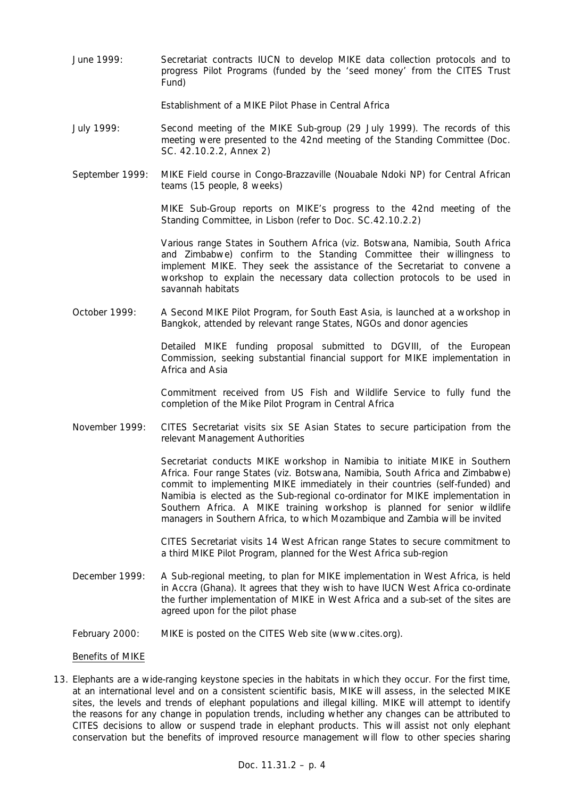June 1999: Secretariat contracts IUCN to develop MIKE data collection protocols and to progress Pilot Programs (funded by the 'seed money' from the CITES Trust Fund)

Establishment of a MIKE Pilot Phase in Central Africa

- July 1999: Second meeting of the MIKE Sub-group (29 July 1999). The records of this meeting were presented to the 42nd meeting of the Standing Committee (Doc. SC. 42.10.2.2, Annex 2)
- September 1999: MIKE Field course in Congo-Brazzaville (Nouabale Ndoki NP) for Central African teams (15 people, 8 weeks)

MIKE Sub-Group reports on MIKE's progress to the 42nd meeting of the Standing Committee, in Lisbon (refer to Doc. SC.42.10.2.2)

Various range States in Southern Africa (viz. Botswana, Namibia, South Africa and Zimbabwe) confirm to the Standing Committee their willingness to implement MIKE. They seek the assistance of the Secretariat to convene a workshop to explain the necessary data collection protocols to be used in savannah habitats

October 1999: A Second MIKE Pilot Program, for South East Asia, is launched at a workshop in Bangkok, attended by relevant range States, NGOs and donor agencies

> Detailed MIKE funding proposal submitted to DGVIII, of the European Commission, seeking substantial financial support for MIKE implementation in Africa and Asia

> Commitment received from US Fish and Wildlife Service to fully fund the completion of the Mike Pilot Program in Central Africa

November 1999: CITES Secretariat visits six SE Asian States to secure participation from the relevant Management Authorities

> Secretariat conducts MIKE workshop in Namibia to initiate MIKE in Southern Africa. Four range States (viz. Botswana, Namibia, South Africa and Zimbabwe) commit to implementing MIKE immediately in their countries (self-funded) and Namibia is elected as the Sub-regional co-ordinator for MIKE implementation in Southern Africa. A MIKE training workshop is planned for senior wildlife managers in Southern Africa, to which Mozambique and Zambia will be invited

> CITES Secretariat visits 14 West African range States to secure commitment to a third MIKE Pilot Program, planned for the West Africa sub-region

- December 1999: A Sub-regional meeting, to plan for MIKE implementation in West Africa, is held in Accra (Ghana). It agrees that they wish to have IUCN West Africa co-ordinate the further implementation of MIKE in West Africa and a sub-set of the sites are agreed upon for the pilot phase
- February 2000: MIKE is posted on the CITES Web site (www.cites.org).

## Benefits of MIKE

13. Elephants are a wide-ranging keystone species in the habitats in which they occur. For the first time, at an international level and on a consistent scientific basis, MIKE will assess, in the selected MIKE sites, the levels and trends of elephant populations and illegal killing. MIKE will attempt to identify the reasons for any change in population trends, including whether any changes can be attributed to CITES decisions to allow or suspend trade in elephant products. This will assist not only elephant conservation but the benefits of improved resource management will flow to other species sharing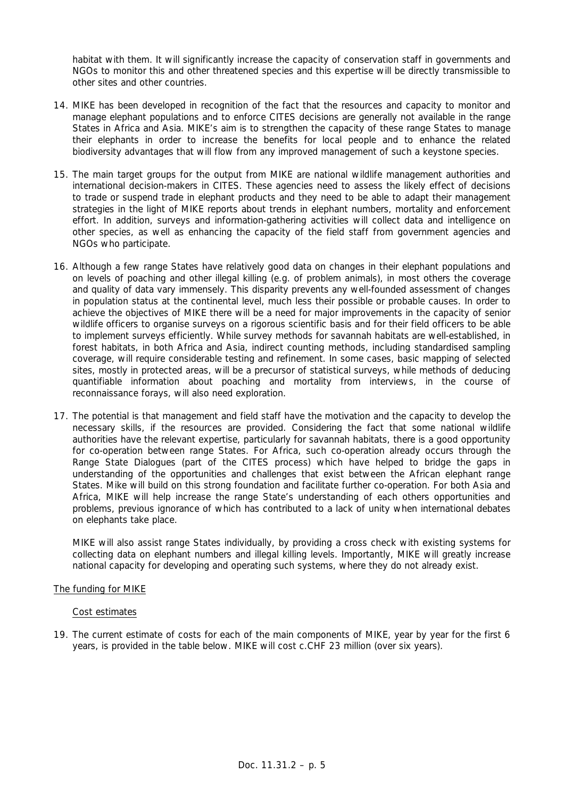habitat with them. It will significantly increase the capacity of conservation staff in governments and NGOs to monitor this and other threatened species and this expertise will be directly transmissible to other sites and other countries.

- 14. MIKE has been developed in recognition of the fact that the resources and capacity to monitor and manage elephant populations and to enforce CITES decisions are generally not available in the range States in Africa and Asia. MIKE's aim is to strengthen the capacity of these range States to manage their elephants in order to increase the benefits for local people and to enhance the related biodiversity advantages that will flow from any improved management of such a keystone species.
- 15. The main target groups for the output from MIKE are national wildlife management authorities and international decision-makers in CITES. These agencies need to assess the likely effect of decisions to trade or suspend trade in elephant products and they need to be able to adapt their management strategies in the light of MIKE reports about trends in elephant numbers, mortality and enforcement effort. In addition, surveys and information-gathering activities will collect data and intelligence on other species, as well as enhancing the capacity of the field staff from government agencies and NGOs who participate.
- 16. Although a few range States have relatively good data on changes in their elephant populations and on levels of poaching and other illegal killing (e.g. of problem animals), in most others the coverage and quality of data vary immensely. This disparity prevents any well-founded assessment of changes in population status at the continental level, much less their possible or probable causes. In order to achieve the objectives of MIKE there will be a need for major improvements in the capacity of senior wildlife officers to organise surveys on a rigorous scientific basis and for their field officers to be able to implement surveys efficiently. While survey methods for savannah habitats are well-established, in forest habitats, in both Africa and Asia, indirect counting methods, including standardised sampling coverage, will require considerable testing and refinement. In some cases, basic mapping of selected sites, mostly in protected areas, will be a precursor of statistical surveys, while methods of deducing quantifiable information about poaching and mortality from interviews, in the course of reconnaissance forays, will also need exploration.
- 17. The potential is that management and field staff have the motivation and the capacity to develop the necessary skills, if the resources are provided. Considering the fact that some national wildlife authorities have the relevant expertise, particularly for savannah habitats, there is a good opportunity for co-operation between range States. For Africa, such co-operation already occurs through the Range State Dialogues (part of the CITES process) which have helped to bridge the gaps in understanding of the opportunities and challenges that exist between the African elephant range States. Mike will build on this strong foundation and facilitate further co-operation. For both Asia and Africa, MIKE will help increase the range State's understanding of each others opportunities and problems, previous ignorance of which has contributed to a lack of unity when international debates on elephants take place.

MIKE will also assist range States individually, by providing a cross check with existing systems for collecting data on elephant numbers and illegal killing levels. Importantly, MIKE will greatly increase national capacity for developing and operating such systems, where they do not already exist.

## The funding for MIKE

#### Cost estimates

19. The current estimate of costs for each of the main components of MIKE, year by year for the first 6 years, is provided in the table below. MIKE will cost c.CHF 23 million (over six years).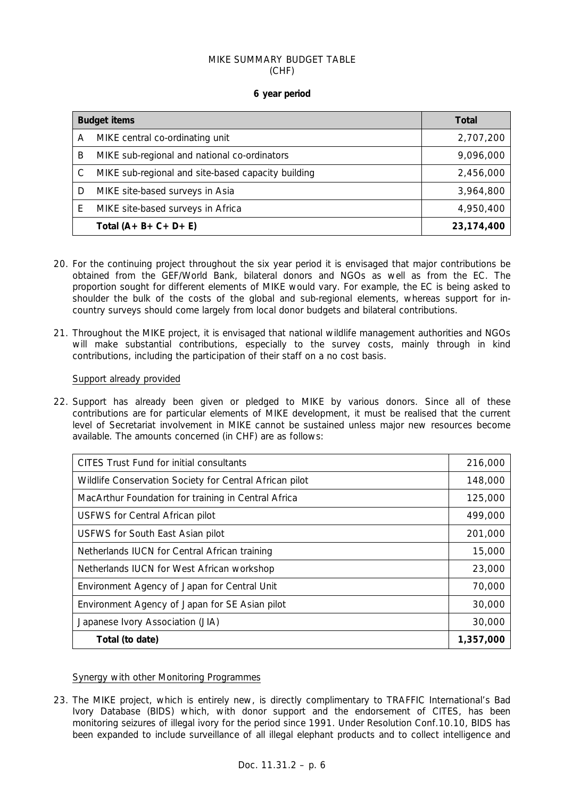# MIKE SUMMARY BUDGET TABLE (CHF)

#### **6 year period**

| <b>Budget items</b> |                                                    | Total      |  |
|---------------------|----------------------------------------------------|------------|--|
| A                   | MIKE central co-ordinating unit                    | 2,707,200  |  |
| B                   | MIKE sub-regional and national co-ordinators       | 9,096,000  |  |
|                     | MIKE sub-regional and site-based capacity building | 2,456,000  |  |
| D                   | MIKE site-based surveys in Asia                    | 3,964,800  |  |
| E                   | MIKE site-based surveys in Africa                  | 4,950,400  |  |
|                     | Total $(A+B+C+D+E)$                                | 23,174,400 |  |

- 20. For the continuing project throughout the six year period it is envisaged that major contributions be obtained from the GEF/World Bank, bilateral donors and NGOs as well as from the EC. The proportion sought for different elements of MIKE would vary. For example, the EC is being asked to shoulder the bulk of the costs of the global and sub-regional elements, whereas support for incountry surveys should come largely from local donor budgets and bilateral contributions.
- 21. Throughout the MIKE project, it is envisaged that national wildlife management authorities and NGOs will make substantial contributions, especially to the survey costs, mainly through in kind contributions, including the participation of their staff on a no cost basis.

## Support already provided

22. Support has already been given or pledged to MIKE by various donors. Since all of these contributions are for particular elements of MIKE development, it must be realised that the current level of Secretariat involvement in MIKE cannot be sustained unless major new resources become available. The amounts concerned (in CHF) are as follows:

| CITES Trust Fund for initial consultants                |  |
|---------------------------------------------------------|--|
| Wildlife Conservation Society for Central African pilot |  |
| MacArthur Foundation for training in Central Africa     |  |
| USFWS for Central African pilot                         |  |
| USFWS for South East Asian pilot                        |  |
| Netherlands IUCN for Central African training           |  |
| Netherlands IUCN for West African workshop              |  |
| Environment Agency of Japan for Central Unit            |  |
| Environment Agency of Japan for SE Asian pilot          |  |
| Japanese Ivory Association (JIA)                        |  |
| Total (to date)                                         |  |

Synergy with other Monitoring Programmes

23. The MIKE project, which is entirely new, is directly complimentary to TRAFFIC International's Bad Ivory Database (BIDS) which, with donor support and the endorsement of CITES, has been monitoring seizures of illegal ivory for the period since 1991. Under Resolution Conf.10.10, BIDS has been expanded to include surveillance of all illegal elephant products and to collect intelligence and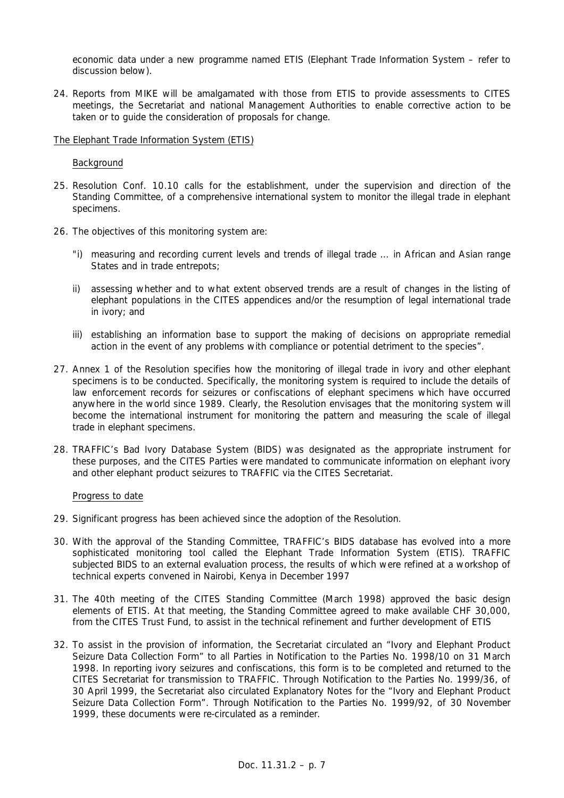economic data under a new programme named ETIS (Elephant Trade Information System – refer to discussion below).

24. Reports from MIKE will be amalgamated with those from ETIS to provide assessments to CITES meetings, the Secretariat and national Management Authorities to enable corrective action to be taken or to guide the consideration of proposals for change.

#### The Elephant Trade Information System (ETIS)

#### Background

- 25. Resolution Conf. 10.10 calls for the establishment, under the supervision and direction of the Standing Committee, of a comprehensive international system to monitor the illegal trade in elephant specimens.
- 26. The objectives of this monitoring system are:
	- *"i) measuring and recording current levels and trends of illegal trade … in African and Asian range States and in trade entrepots;*
	- *ii) assessing whether and to what extent observed trends are a result of changes in the listing of elephant populations in the CITES appendices and/or the resumption of legal international trade in ivory; and*
	- *iii) establishing an information base to support the making of decisions on appropriate remedial action in the event of any problems with compliance or potential detriment to the species".*
- 27. Annex 1 of the Resolution specifies how the monitoring of illegal trade in ivory and other elephant specimens is to be conducted. Specifically, the monitoring system is required to include the details of law enforcement records for seizures or confiscations of elephant specimens which have occurred anywhere in the world since 1989. Clearly, the Resolution envisages that the monitoring system will become the international instrument for monitoring the pattern and measuring the scale of illegal trade in elephant specimens.
- 28. TRAFFIC's Bad Ivory Database System (BIDS) was designated as the appropriate instrument for these purposes, and the CITES Parties were mandated to communicate information on elephant ivory and other elephant product seizures to TRAFFIC via the CITES Secretariat.

#### Progress to date

- 29. Significant progress has been achieved since the adoption of the Resolution.
- 30. With the approval of the Standing Committee, TRAFFIC's BIDS database has evolved into a more sophisticated monitoring tool called the Elephant Trade Information System (ETIS). TRAFFIC subjected BIDS to an external evaluation process, the results of which were refined at a workshop of technical experts convened in Nairobi, Kenya in December 1997
- 31. The 40th meeting of the CITES Standing Committee (March 1998) approved the basic design elements of ETIS. At that meeting, the Standing Committee agreed to make available CHF 30,000, from the CITES Trust Fund, to assist in the technical refinement and further development of ETIS
- 32. To assist in the provision of information, the Secretariat circulated an "*Ivory and Elephant Product Seizure Data Collection Form*" to all Parties in Notification to the Parties No. 1998/10 on 31 March 1998. In reporting ivory seizures and confiscations, this form is to be completed and returned to the CITES Secretariat for transmission to TRAFFIC. Through Notification to the Parties No. 1999/36, of 30 April 1999, the Secretariat also circulated *Explanatory Notes for the "Ivory and Elephant Product Seizure Data Collection Form".* Through Notification to the Parties No. 1999/92, of 30 November 1999, these documents were re-circulated as a reminder.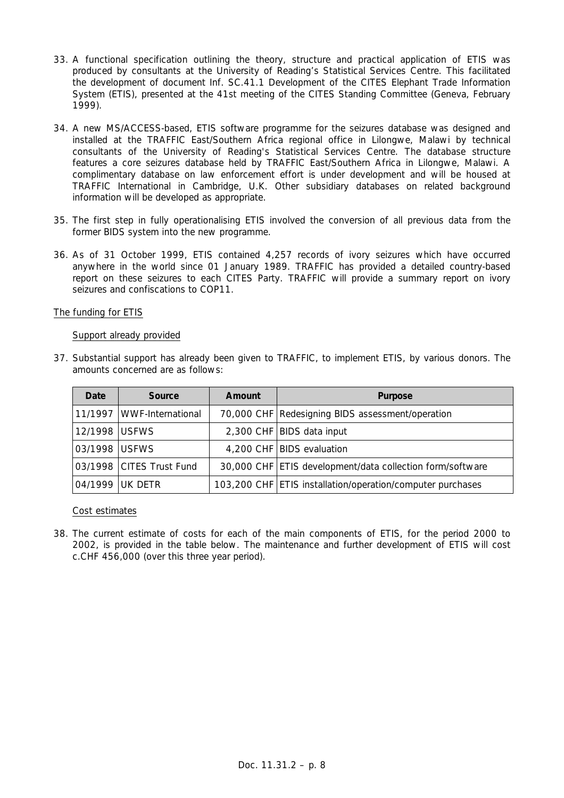- 33. A functional specification outlining the theory, structure and practical application of ETIS was produced by consultants at the University of Reading's Statistical Services Centre. This facilitated the development of document Inf. SC.41.1 *Development of the CITES Elephant Trade Information System (ETIS),* presented at the 41st meeting of the CITES Standing Committee (Geneva, February 1999).
- 34. A new MS/ACCESS-based, ETIS software programme for the seizures database was designed and installed at the TRAFFIC East/Southern Africa regional office in Lilongwe, Malawi by technical consultants of the University of Reading's Statistical Services Centre. The database structure features a core seizures database held by TRAFFIC East/Southern Africa in Lilongwe, Malawi. A complimentary database on law enforcement effort is under development and will be housed at TRAFFIC International in Cambridge, U.K. Other subsidiary databases on related background information will be developed as appropriate.
- 35. The first step in fully operationalising ETIS involved the conversion of all previous data from the former BIDS system into the new programme.
- 36. As of 31 October 1999, ETIS contained 4,257 records of ivory seizures which have occurred anywhere in the world since 01 January 1989. TRAFFIC has provided a detailed country-based report on these seizures to each CITES Party. TRAFFIC will provide a summary report on ivory seizures and confiscations to COP11.

## The funding for ETIS

#### Support already provided

37. Substantial support has already been given to TRAFFIC, to implement ETIS, by various donors. The amounts concerned are as follows:

| Date             | Source                      | Amount | <b>Purpose</b>                                             |  |
|------------------|-----------------------------|--------|------------------------------------------------------------|--|
|                  | 11/1997   WWF-International |        | 70,000 CHF   Redesigning BIDS assessment/operation         |  |
| 12/1998 USFWS    |                             |        | 2,300 CHF BIDS data input                                  |  |
| 03/1998 USFWS    |                             |        | 4,200 CHF BIDS evaluation                                  |  |
|                  | 03/1998 CITES Trust Fund    |        | 30,000 CHF ETIS development/data collection form/software  |  |
| 04/1999  UK DETR |                             |        | 103,200 CHF ETIS installation/operation/computer purchases |  |

Cost estimates

38. The current estimate of costs for each of the main components of ETIS, for the period 2000 to 2002, is provided in the table below. The maintenance and further development of ETIS will cost c.CHF 456,000 (over this three year period).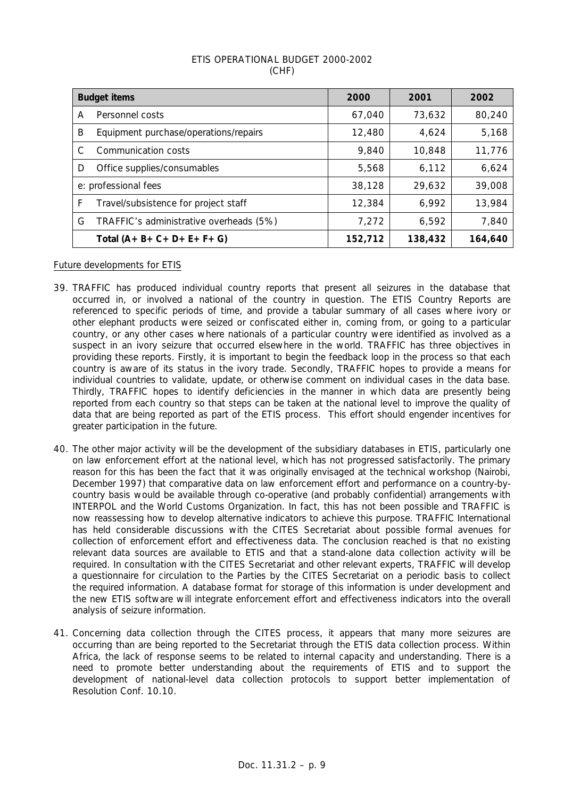# ETIS OPERATIONAL BUDGET 2000-2002 (CHF)

| <b>Budget items</b> |                                         | 2000    | 2001    | 2002    |
|---------------------|-----------------------------------------|---------|---------|---------|
| A                   | Personnel costs                         | 67,040  | 73,632  | 80,240  |
| B                   | Equipment purchase/operations/repairs   | 12,480  | 4,624   | 5,168   |
| C                   | Communication costs                     | 9,840   | 10,848  | 11,776  |
| D                   | Office supplies/consumables             | 5,568   | 6,112   | 6,624   |
|                     | e: professional fees                    | 38,128  | 29.632  | 39,008  |
| F                   | Travel/subsistence for project staff    | 12,384  | 6,992   | 13,984  |
| G                   | TRAFFIC's administrative overheads (5%) | 7,272   | 6,592   | 7,840   |
|                     | Total $(A+B+C+D+E+F+G)$                 | 152,712 | 138,432 | 164,640 |

#### Future developments for ETIS

- 39. TRAFFIC has produced individual country reports that present all seizures in the database that occurred in, or involved a national of the country in question. The ETIS Country Reports are referenced to specific periods of time, and provide a tabular summary of all cases where ivory or other elephant products were seized or confiscated either in, coming from, or going to a particular country, or any other cases where nationals of a particular country were identified as involved as a suspect in an ivory seizure that occurred elsewhere in the world. TRAFFIC has three objectives in providing these reports. Firstly, it is important to begin the feedback loop in the process so that each country is aware of its status in the ivory trade. Secondly, TRAFFIC hopes to provide a means for individual countries to validate, update, or otherwise comment on individual cases in the data base. Thirdly, TRAFFIC hopes to identify deficiencies in the manner in which data are presently being reported from each country so that steps can be taken at the national level to improve the quality of data that are being reported as part of the ETIS process. This effort should engender incentives for greater participation in the future.
- 40. The other major activity will be the development of the subsidiary databases in ETIS, particularly one on law enforcement effort at the national level, which has not progressed satisfactorily. The primary reason for this has been the fact that it was originally envisaged at the technical workshop (Nairobi, December 1997) that comparative data on law enforcement effort and performance on a country-bycountry basis would be available through co-operative (and probably confidential) arrangements with INTERPOL and the World Customs Organization. In fact, this has not been possible and TRAFFIC is now reassessing how to develop alternative indicators to achieve this purpose. TRAFFIC International has held considerable discussions with the CITES Secretariat about possible formal avenues for collection of enforcement effort and effectiveness data. The conclusion reached is that no existing relevant data sources are available to ETIS and that a stand-alone data collection activity will be required. In consultation with the CITES Secretariat and other relevant experts, TRAFFIC will develop a questionnaire for circulation to the Parties by the CITES Secretariat on a periodic basis to collect the required information. A database format for storage of this information is under development and the new ETIS software will integrate enforcement effort and effectiveness indicators into the overall analysis of seizure information.
- 41. Concerning data collection through the CITES process, it appears that many more seizures are occurring than are being reported to the Secretariat through the ETIS data collection process. Within Africa, the lack of response seems to be related to internal capacity and understanding. There is a need to promote better understanding about the requirements of ETIS and to support the development of national-level data collection protocols to support better implementation of Resolution Conf. 10.10.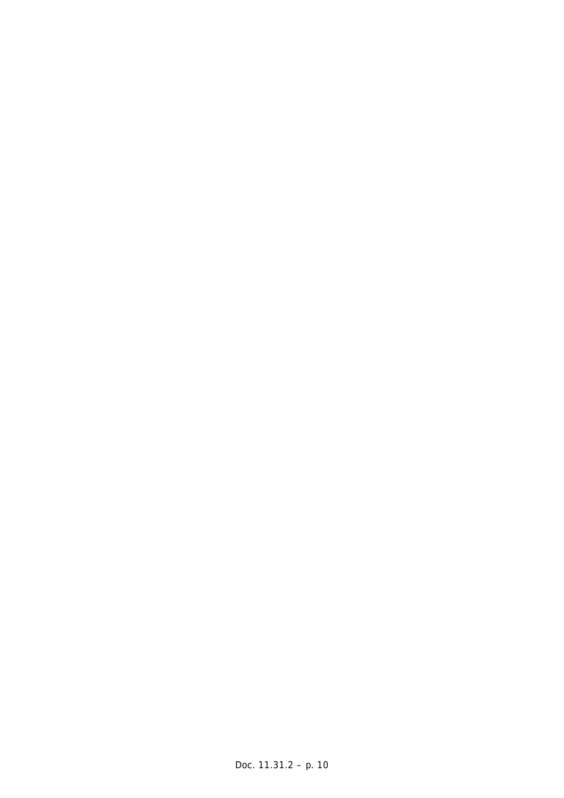Doc. 11.31.2 – p. 10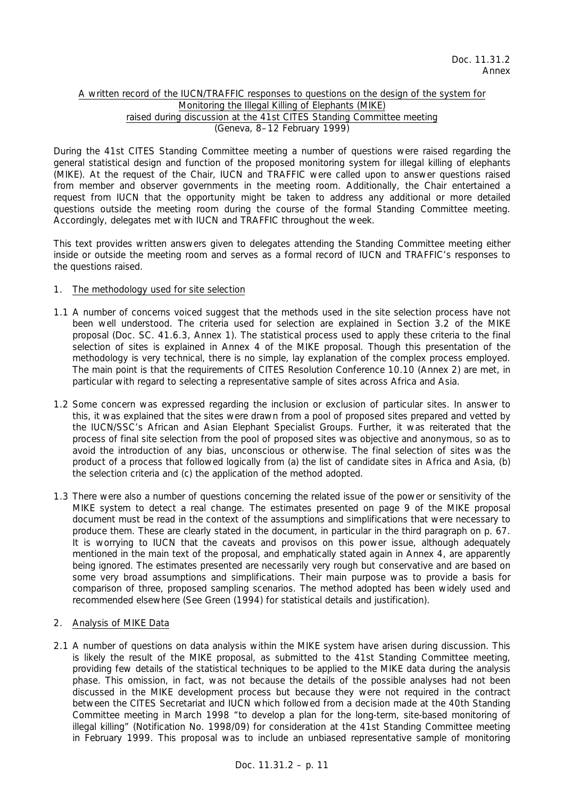## A written record of the IUCN/TRAFFIC responses to questions on the design of the system for Monitoring the Illegal Killing of Elephants (MIKE) raised during discussion at the 41st CITES Standing Committee meeting (Geneva, 8–12 February 1999)

During the 41st CITES Standing Committee meeting a number of questions were raised regarding the general statistical design and function of the proposed monitoring system for illegal killing of elephants (MIKE). At the request of the Chair, IUCN and TRAFFIC were called upon to answer questions raised from member and observer governments in the meeting room. Additionally, the Chair entertained a request from IUCN that the opportunity might be taken to address any additional or more detailed questions outside the meeting room during the course of the formal Standing Committee meeting. Accordingly, delegates met with IUCN and TRAFFIC throughout the week.

This text provides written answers given to delegates attending the Standing Committee meeting either inside or outside the meeting room and serves as a formal record of IUCN and TRAFFIC's responses to the questions raised.

## 1. The methodology used for site selection

- 1.1 A number of concerns voiced suggest that the methods used in the site selection process have not been well understood. The criteria used for selection are explained in Section 3.2 of the MIKE proposal (Doc. SC. 41.6.3, Annex 1). The statistical process used to apply these criteria to the final selection of sites is explained in Annex 4 of the MIKE proposal. Though this presentation of the methodology is very technical, there is no simple, lay explanation of the complex process employed. The main point is that the requirements of CITES Resolution Conference 10.10 (Annex 2) are met, in particular with regard to selecting a representative sample of sites across Africa and Asia.
- 1.2 Some concern was expressed regarding the inclusion or exclusion of particular sites. In answer to this, it was explained that the sites were drawn from a pool of proposed sites prepared and vetted by the IUCN/SSC's African and Asian Elephant Specialist Groups. Further, it was reiterated that the process of final site selection from the pool of proposed sites was objective and anonymous, so as to avoid the introduction of any bias, unconscious or otherwise. The final selection of sites was the product of a process that followed logically from (a) the list of candidate sites in Africa and Asia, (b) the selection criteria and (c) the application of the method adopted.
- 1.3 There were also a number of questions concerning the related issue of the power or sensitivity of the MIKE system to detect a real change. The estimates presented on page 9 of the MIKE proposal document *must be read in the context of the assumptions and simplifications* that were necessary to produce them. These are clearly stated in the document, in particular in the third paragraph on p. 67. It is worrying to IUCN that the caveats and provisos on this power issue, although adequately mentioned in the main text of the proposal, and emphatically stated again in Annex 4, are apparently being ignored. The estimates presented are necessarily very rough *but conservative* and are based on some very broad assumptions and simplifications. Their main purpose was to provide a basis for comparison of three, proposed sampling scenarios. The method adopted has been widely used and recommended elsewhere (See Green (1994) for statistical details and justification).

## 2. Analysis of MIKE Data

2.1 A number of questions on data analysis within the MIKE system have arisen during discussion. This is likely the result of the MIKE proposal, as submitted to the 41st Standing Committee meeting, providing few details of the statistical techniques to be applied to the MIKE data during the analysis phase. This omission, in fact, was not because the details of the possible analyses had not been discussed in the MIKE development process but because they were not required in the contract between the CITES Secretariat and IUCN which followed from a decision made at the 40th Standing Committee meeting in March 1998 "to develop a plan for the long-term, site-based monitoring of illegal killing" (Notification No. 1998/09) for consideration at the 41st Standing Committee meeting in February 1999. This proposal was to include an unbiased representative sample of monitoring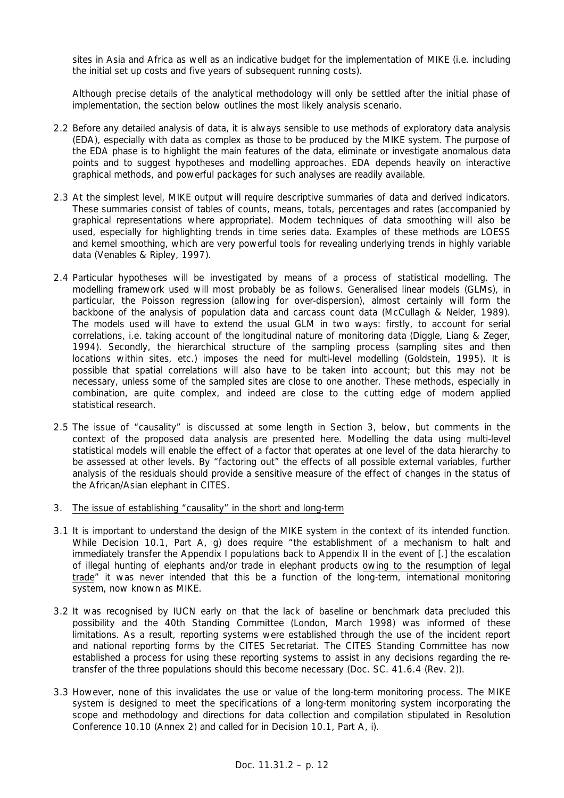sites in Asia and Africa as well as an indicative budget for the implementation of MIKE (i.e. including the initial set up costs and five years of subsequent running costs).

Although precise details of the analytical methodology will only be settled after the initial phase of implementation, the section below outlines the most likely analysis scenario.

- 2.2 Before any detailed analysis of data, it is always sensible to use methods of exploratory data analysis (EDA), especially with data as complex as those to be produced by the MIKE system. The purpose of the EDA phase is to highlight the main features of the data, eliminate or investigate anomalous data points and to suggest hypotheses and modelling approaches. EDA depends heavily on interactive graphical methods, and powerful packages for such analyses are readily available.
- 2.3 At the simplest level, MIKE output will require descriptive summaries of data and derived indicators. These summaries consist of tables of counts, means, totals, percentages and rates (accompanied by graphical representations where appropriate). Modern techniques of *data smoothing* will also be used, especially for highlighting *trends* in time series data. Examples of these methods are LOESS and kernel smoothing, which are very powerful tools for revealing underlying trends in highly variable data (Venables & Ripley, 1997).
- 2.4 Particular hypotheses will be investigated by means of a process of statistical modelling. The modelling framework used will most probably be as follows. Generalised linear models (GLMs), in particular, the Poisson regression (allowing for over-dispersion), almost certainly will form the backbone of the analysis of population data and carcass count data (McCullagh & Nelder, 1989). The models used will have to extend the usual GLM in two ways: firstly, to account for serial correlations, i.e. taking account of the longitudinal nature of monitoring data (Diggle, Liang & Zeger, 1994). Secondly, the hierarchical structure of the sampling process (sampling sites and then locations within sites, etc.) imposes the need for multi-level modelling (Goldstein, 1995). It is possible that spatial correlations will also have to be taken into account; but this may not be necessary, unless some of the sampled sites are close to one another. These methods, especially in combination, are quite complex, and indeed are close to the cutting edge of modern applied statistical research.
- 2.5 The issue of "causality" is discussed at some length in Section 3, below, but comments in the context of the proposed data analysis are presented here. Modelling the data using multi-level statistical models will enable the effect of a factor that operates at one level of the data hierarchy to be assessed at other levels. By "factoring out" the effects of all possible external variables, further analysis of the residuals should provide a sensitive measure of the effect of changes in the status of the African/Asian elephant in CITES.
- 3. The issue of establishing "causality" in the short and long-term
- 3.1 It is important to understand the design of the MIKE system in the context of its intended function. While Decision 10.1, Part A, g) does require "the establishment of a mechanism to halt and immediately transfer the Appendix I populations back to Appendix II in the event of [.] the escalation of illegal hunting of elephants and/or trade in elephant products owing to the resumption of legal trade" it was never intended that this be a function of the long-term, international monitoring system, now known as MIKE.
- 3.2 It was recognised by IUCN early on that the lack of baseline or benchmark data precluded this possibility and the 40th Standing Committee (London, March 1998) was informed of these limitations. As a result, reporting systems were established through the use of the incident report and national reporting forms by the CITES Secretariat. The CITES Standing Committee has now established a process for using these reporting systems to assist in any decisions regarding the retransfer of the three populations should this become necessary (Doc. SC. 41.6.4 (Rev. 2)).
- 3.3 However, none of this invalidates the use or value of the long-term monitoring process. The MIKE system is designed to meet the specifications of a long-term monitoring system incorporating the scope and methodology and directions for data collection and compilation stipulated in Resolution Conference 10.10 (Annex 2) and called for in Decision 10.1, Part A, i).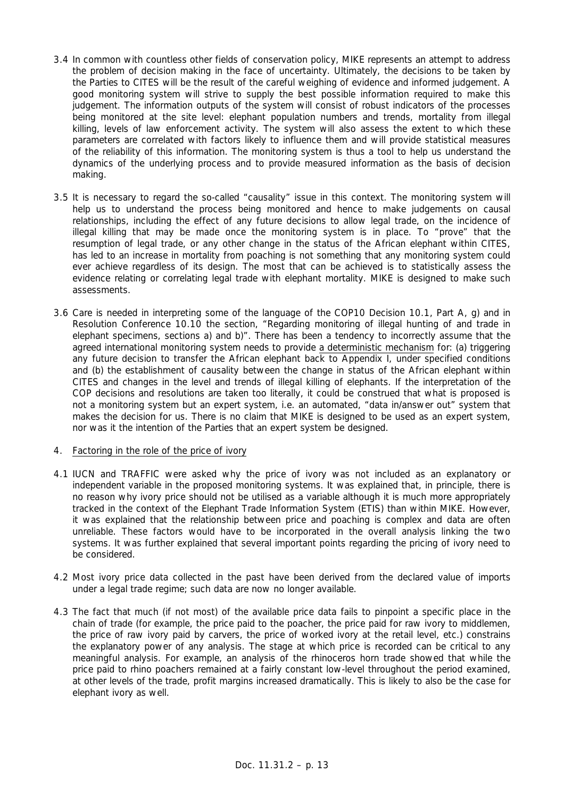- 3.4 In common with countless other fields of conservation policy, MIKE represents an attempt to address the problem of decision making in the face of uncertainty. Ultimately, the decisions to be taken by the Parties to CITES will be the result of the careful weighing of evidence and informed judgement. A good monitoring system will strive to supply the best possible information required to make this judgement. The information outputs of the system will consist of robust indicators of the processes being monitored at the site level: elephant population numbers and trends, mortality from illegal killing, levels of law enforcement activity. The system will also assess the extent to which these parameters are correlated with factors likely to influence them and will provide statistical measures of the *reliability* of this information. The monitoring system is thus a tool to help us understand the dynamics of the underlying process and to provide measured information as the basis of decision making.
- 3.5 It is necessary to regard the so-called "causality" issue in this context. The monitoring system will help us to understand the process being monitored and hence to make *judgements* on causal relationships, including the effect of any future decisions to allow legal trade, on the incidence of illegal killing that may be made once the monitoring system is in place. To "prove" that the resumption of legal trade, or any other change in the status of the African elephant within CITES, has led to an increase in mortality from poaching is not something that any monitoring system could ever achieve regardless of its design. The most that can be achieved is to statistically assess the evidence relating or correlating legal trade with elephant mortality. MIKE is designed to make such assessments.
- 3.6 Care is needed in interpreting some of the language of the COP10 Decision 10.1, Part A, g) and in Resolution Conference 10.10 the section, "Regarding monitoring of illegal hunting of and trade in elephant specimens, sections a) and b)". There has been a tendency to incorrectly assume that the agreed international monitoring system needs to provide a deterministic mechanism for: (a) triggering any future decision to transfer the African elephant back to Appendix I, under specified conditions and (b) the establishment of causality between the change in status of the African elephant within CITES and changes in the level and trends of illegal killing of elephants. If the interpretation of the COP decisions and resolutions are taken too literally, it could be construed that what is proposed is not a monitoring system but an *expert system*, i.e. an automated, "data in/answer out" system that makes the decision for us. There is no claim that MIKE is designed to be used as an expert system, nor was it the intention of the Parties that an expert system be designed.

## 4. Factoring in the role of the price of ivory

- 4.1 IUCN and TRAFFIC were asked why the price of ivory was not included as an explanatory or independent variable in the proposed monitoring systems. It was explained that, in principle, there is no reason why ivory price should not be utilised as a variable although it is much more appropriately tracked in the context of the Elephant Trade Information System (ETIS) than within MIKE. However, it was explained that the relationship between price and poaching is complex and data are often unreliable. These factors would have to be incorporated in the overall analysis linking the two systems. It was further explained that several important points regarding the pricing of ivory need to be considered.
- 4.2 Most ivory price data collected in the past have been derived from the declared value of imports under a legal trade regime; such data are now no longer available.
- 4.3 The fact that much (if not most) of the available price data fails to pinpoint a specific place in the chain of trade (for example, the price paid to the poacher, the price paid for raw ivory to middlemen, the price of raw ivory paid by carvers, the price of worked ivory at the retail level, etc.) constrains the explanatory power of any analysis. The stage at which price is recorded can be critical to any meaningful analysis. For example, an analysis of the rhinoceros horn trade showed that while the price paid to rhino poachers remained at a fairly constant low-level throughout the period examined, at other levels of the trade, profit margins increased dramatically. This is likely to also be the case for elephant ivory as well.